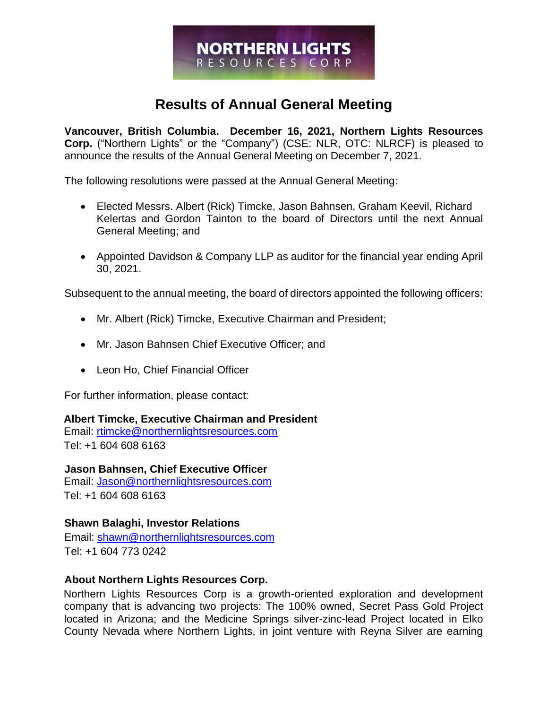# **NORTHERN LIGHTS** RESOURCES CORP

# **Results of Annual General Meeting**

**Vancouver, British Columbia. December 16, 2021, Northern Lights Resources Corp.** ("Northern Lights" or the "Company") (CSE: NLR, OTC: NLRCF) is pleased to announce the results of the Annual General Meeting on December 7, 2021.

The following resolutions were passed at the Annual General Meeting:

- Elected Messrs. Albert (Rick) Timcke, Jason Bahnsen, Graham Keevil, Richard Kelertas and Gordon Tainton to the board of Directors until the next Annual General Meeting; and
- Appointed Davidson & Company LLP as auditor for the financial year ending April 30, 2021.

Subsequent to the annual meeting, the board of directors appointed the following officers:

- Mr. Albert (Rick) Timcke, Executive Chairman and President;
- Mr. Jason Bahnsen Chief Executive Officer; and
- Leon Ho, Chief Financial Officer

For further information, please contact:

#### **Albert Timcke, Executive Chairman and President**

Email: rtimcke@northernlightsresources.com Tel: +1 604 608 6163

**Jason Bahnsen, Chief Executive Officer**  Email: Jason@northernlightsresources.com Tel: +1 604 608 6163

## **Shawn Balaghi, Investor Relations**

Email: [shawn@northernlightsresources.com](mailto:shawn@northernlightsresources.com) Tel: +1 604 773 0242

## **About Northern Lights Resources Corp.**

Northern Lights Resources Corp is a growth-oriented exploration and development company that is advancing two projects: The 100% owned, Secret Pass Gold Project located in Arizona; and the Medicine Springs silver-zinc-lead Project located in Elko County Nevada where Northern Lights, in joint venture with Reyna Silver are earning